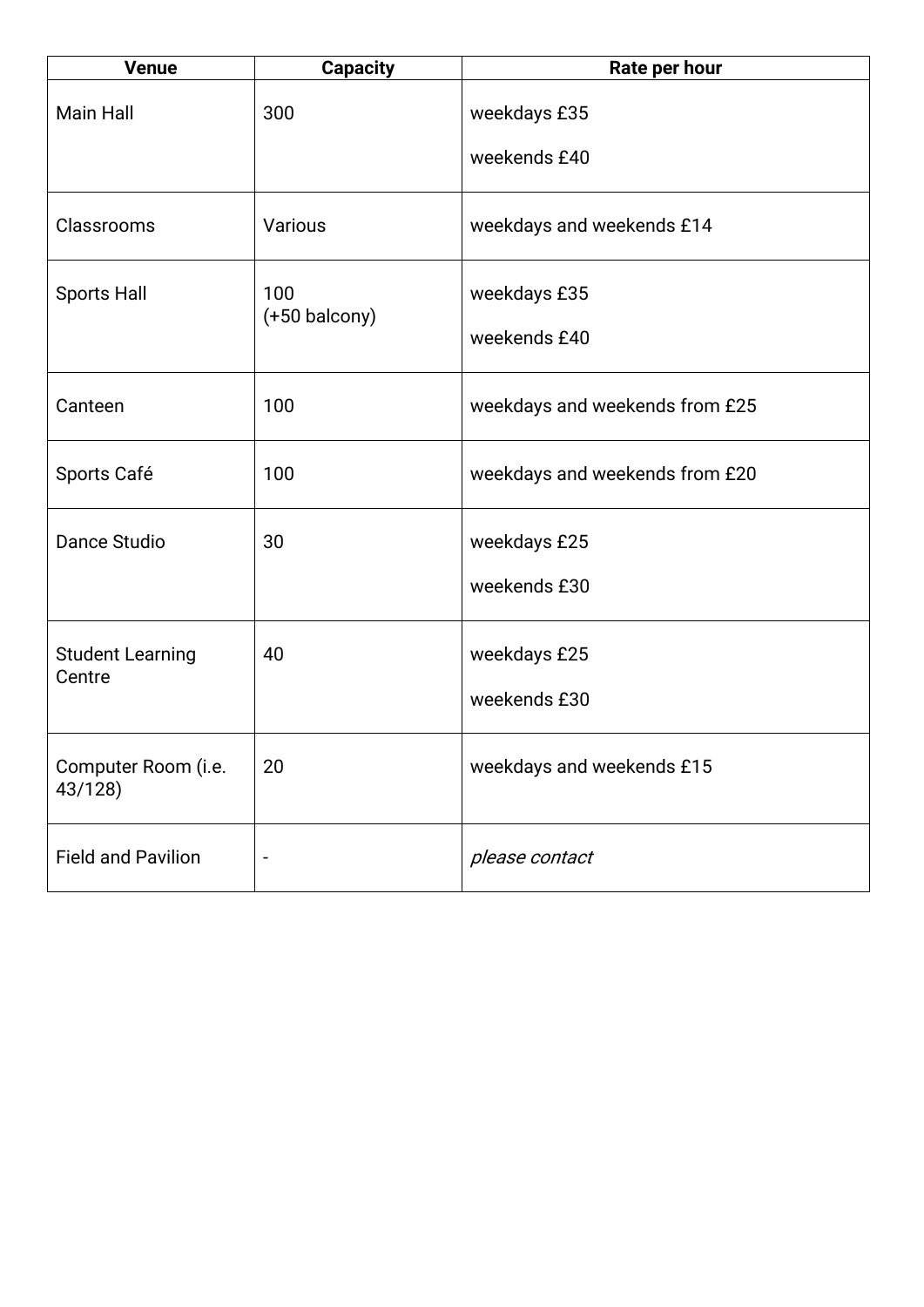| <b>Venue</b>                      | <b>Capacity</b>          | Rate per hour                  |
|-----------------------------------|--------------------------|--------------------------------|
| <b>Main Hall</b>                  | 300                      | weekdays £35<br>weekends £40   |
|                                   |                          |                                |
| Classrooms                        | Various                  | weekdays and weekends £14      |
| <b>Sports Hall</b>                | 100<br>$(+50$ balcony)   | weekdays £35                   |
|                                   |                          | weekends £40                   |
| Canteen                           | 100                      | weekdays and weekends from £25 |
| Sports Café                       | 100                      | weekdays and weekends from £20 |
| Dance Studio                      | 30                       | weekdays £25                   |
|                                   |                          | weekends £30                   |
| <b>Student Learning</b><br>Centre | 40                       | weekdays £25                   |
|                                   |                          | weekends £30                   |
| Computer Room (i.e.<br>43/128)    | 20                       | weekdays and weekends £15      |
| <b>Field and Pavilion</b>         | $\overline{\phantom{a}}$ | please contact                 |